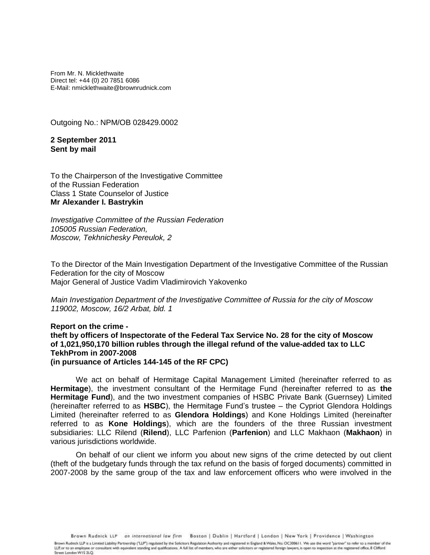From Mr. N. Micklethwaite Direct tel: +44 (0) 20 7851 6086 E-Mail: nmicklethwaite@brownrudnick.com

Outgoing No.: NPM/OB 028429.0002

**2 September 2011 Sent by mail**

To the Chairperson of the Investigative Committee of the Russian Federation Class 1 State Counselor of Justice **Mr Alexander I. Bastrykin**

*Investigative Committee of the Russian Federation 105005 Russian Federation, Moscow, Tekhnichesky Pereulok, 2*

To the Director of the Main Investigation Department of the Investigative Committee of the Russian Federation for the city of Moscow Major General of Justice Vadim Vladimirovich Yakovenko

*Main Investigation Department of the Investigative Committee of Russia for the city of Moscow 119002, Moscow, 16/2 Arbat, bld. 1*

**Report on the crime theft by officers of Inspectorate of the Federal Tax Service No. 28 for the city of Moscow of 1,021,950,170 billion rubles through the illegal refund of the value-added tax to LLC TekhProm in 2007-2008 (in pursuance of Articles 144-145 of the RF CPC)**

We act on behalf of Hermitage Capital Management Limited (hereinafter referred to as **Hermitage**), the investment consultant of the Hermitage Fund (hereinafter referred to as **the Hermitage Fund**), and the two investment companies of HSBC Private Bank (Guernsey) Limited (hereinafter referred to as **HSBC**), the Hermitage Fund's trustee – the Cypriot Glendora Holdings Limited (hereinafter referred to as **Glendora Holdings**) and Kone Holdings Limited (hereinafter referred to as **Kone Holdings**), which are the founders of the three Russian investment subsidiaries: LLC Rilend (**Rilend**), LLC Parfenion (**Parfenion**) and LLC Makhaon (**Makhaon**) in various jurisdictions worldwide.

On behalf of our client we inform you about new signs of the crime detected by out client (theft of the budgetary funds through the tax refund on the basis of forged documents) committed in 2007-2008 by the same group of the tax and law enforcement officers who were involved in the

Brown Rudnick LLP an international law firm Boston | Dublin | Hartford | London | New York | Providence | Washington

Brown Rudnick LLP is a Limited Liability Partnership ("LLP") regulated by the Solicitors Regulation Authority and registered in England & Wales, No. OC300611. We use the word "partner" to refer to a member of the LLP, or to an employee or consultant with equivalent standing and qualifications. A full list of members, who are either solicitors or registered foreign lawyers, is open to inspection at the registered office, 8 Clifford Street London WIS 2LQ.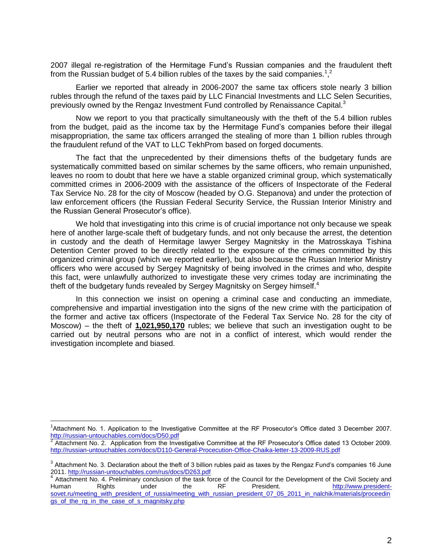2007 illegal re-registration of the Hermitage Fund's Russian companies and the fraudulent theft from the Russian budget of 5.4 billion rubles of the taxes by the said companies.<sup>1,2</sup>

Earlier we reported that already in 2006-2007 the same tax officers stole nearly 3 billion rubles through the refund of the taxes paid by LLC Financial Investments and LLC Selen Securities, previously owned by the Rengaz Investment Fund controlled by Renaissance Capital.<sup>3</sup>

Now we report to you that practically simultaneously with the theft of the 5.4 billion rubles from the budget, paid as the income tax by the Hermitage Fund's companies before their illegal misappropriation, the same tax officers arranged the stealing of more than 1 billion rubles through the fraudulent refund of the VAT to LLC TekhProm based on forged documents.

The fact that the unprecedented by their dimensions thefts of the budgetary funds are systematically committed based on similar schemes by the same officers, who remain unpunished, leaves no room to doubt that here we have a stable organized criminal group, which systematically committed crimes in 2006-2009 with the assistance of the officers of Inspectorate of the Federal Tax Service No. 28 for the city of Moscow (headed by O.G. Stepanova) and under the protection of law enforcement officers (the Russian Federal Security Service, the Russian Interior Ministry and the Russian General Prosecutor's office).

We hold that investigating into this crime is of crucial importance not only because we speak here of another large-scale theft of budgetary funds, and not only because the arrest, the detention in custody and the death of Hermitage lawyer Sergey Magnitsky in the Matrosskaya Tishina Detention Center proved to be directly related to the exposure of the crimes committed by this organized criminal group (which we reported earlier), but also because the Russian Interior Ministry officers who were accused by Sergey Magnitsky of being involved in the crimes and who, despite this fact, were unlawfully authorized to investigate these very crimes today are incriminating the theft of the budgetary funds revealed by Sergey Magnitsky on Sergey himself.<sup>4</sup>

In this connection we insist on opening a criminal case and conducting an immediate, comprehensive and impartial investigation into the signs of the new crime with the participation of the former and active tax officers (Inspectorate of the Federal Tax Service No. 28 for the city of Moscow) – the theft of **1,021,950,170** rubles; we believe that such an investigation ought to be carried out by neutral persons who are not in a conflict of interest, which would render the investigation incomplete and biased.

 $\overline{a}$ <sup>1</sup>Attachment No. 1. Application to the Investigative Committee at the RF Prosecutor's Office dated 3 December 2007.

<http://russian-untouchables.com/docs/D50.pdf><br><sup>2</sup> Attachment No. 2. Application from the Investigative Committee at the RF Prosecutor's Office dated 13 October 2009. <http://russian-untouchables.com/docs/D110-General-Procecution-Office-Chaika-letter-13-2009-RUS.pdf>

 $3$  Attachment No. 3. Declaration about the theft of 3 billion rubles paid as taxes by the Rengaz Fund's companies 16 June 2011.<http://russian-untouchables.com/rus/docs/D263.pdf>

<sup>&</sup>lt;sup>4</sup> Attachment No. 4. Preliminary conclusion of the task force of the Council for the Development of the Civil Society and Human Rights under the RF President. [http://www.president](http://www.president-sovet.ru/meeting_with_president_of_russia/meeting_with_russian_president_07_05_2011_in_nalchik/materials/proceedings_of_the_rg_in_the_case_of_s_magnitsky.php)[sovet.ru/meeting\\_with\\_president\\_of\\_russia/meeting\\_with\\_russian\\_president\\_07\\_05\\_2011\\_in\\_nalchik/materials/proceedin](http://www.president-sovet.ru/meeting_with_president_of_russia/meeting_with_russian_president_07_05_2011_in_nalchik/materials/proceedings_of_the_rg_in_the_case_of_s_magnitsky.php) [gs\\_of\\_the\\_rg\\_in\\_the\\_case\\_of\\_s\\_magnitsky.php](http://www.president-sovet.ru/meeting_with_president_of_russia/meeting_with_russian_president_07_05_2011_in_nalchik/materials/proceedings_of_the_rg_in_the_case_of_s_magnitsky.php)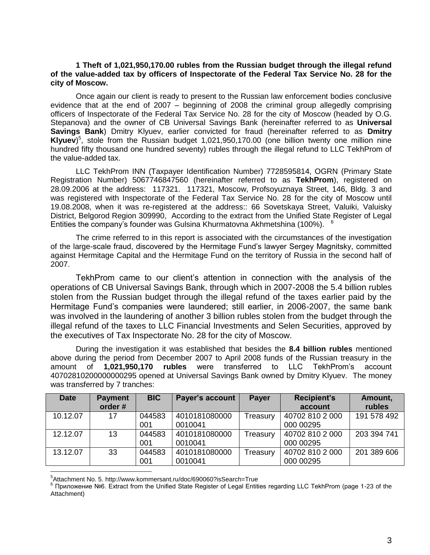## **1 Theft of 1,021,950,170.00 rubles from the Russian budget through the illegal refund of the value-added tax by officers of Inspectorate of the Federal Tax Service No. 28 for the city of Moscow.**

Once again our client is ready to present to the Russian law enforcement bodies conclusive evidence that at the end of 2007 – beginning of 2008 the criminal group allegedly comprising officers of Inspectorate of the Federal Tax Service No. 28 for the city of Moscow (headed by O.G. Stepanova) and the owner of CB Universal Savings Bank (hereinafter referred to as **Universal Savings Bank**) Dmitry Klyuev, earlier convicted for fraud (hereinafter referred to as **Dmitry Klyuev**) 5 , stole from the Russian budget 1,021,950,170.00 (one billion twenty one million nine hundred fifty thousand one hundred seventy) rubles through the illegal refund to LLC TekhProm of the value-added tax.

LLC TekhProm INN (Taxpayer Identification Number) 7728595814, OGRN (Primary State Registration Number) 5067746847560 (hereinafter referred to as **TekhProm**), registered on 28.09.2006 at the address: 117321. 117321, Moscow, Profsoyuznaya Street, 146, Bldg. 3 and was registered with Inspectorate of the Federal Tax Service No. 28 for the city of Moscow until 19.08.2008, when it was re-registered at the address:: 66 Sovetskaya Street, Valuiki, Valuisky District, Belgorod Region 309990, According to the extract from the Unified State Register of Legal Entities the company's founder was Gulsina Khurmatovna Akhmetshina (100%). <sup>6</sup>

The crime referred to in this report is associated with the circumstances of the investigation of the large-scale fraud, discovered by the Hermitage Fund's lawyer Sergey Magnitsky, committed against Hermitage Capital and the Hermitage Fund on the territory of Russia in the second half of 2007.

TekhProm came to our client's attention in connection with the analysis of the operations of CB Universal Savings Bank, through which in 2007-2008 the 5.4 billion rubles stolen from the Russian budget through the illegal refund of the taxes earlier paid by the Hermitage Fund's companies were laundered; still earlier, in 2006-2007, the same bank was involved in the laundering of another 3 billion rubles stolen from the budget through the illegal refund of the taxes to LLC Financial Investments and Selen Securities, approved by the executives of Tax Inspectorate No. 28 for the city of Moscow.

During the investigation it was established that besides the **8.4 billion rubles** mentioned above during the period from December 2007 to April 2008 funds of the Russian treasury in the amount of **1,021,950,170 rubles** were transferred to LLC TekhProm's account 40702810200000000295 opened at Universal Savings Bank owned by Dmitry Klyuev. The money was transferred by 7 tranches:

| <b>Date</b> | <b>Payment</b> | <b>BIC</b> | Payer's account | <b>Payer</b> | <b>Recipient's</b> | Amount,     |
|-------------|----------------|------------|-----------------|--------------|--------------------|-------------|
|             | order#         |            |                 |              | account            | rubles      |
| 10.12.07    | 17             | 044583     | 4010181080000   | Treasury     | 40702 810 2 000    | 191 578 492 |
|             |                | 001        | 0010041         |              | 000 00295          |             |
| 12.12.07    | 13             | 044583     | 4010181080000   | Treasury     | 40702 810 2 000    | 203 394 741 |
|             |                | 001        | 0010041         |              | 000 00295          |             |
| 13.12.07    | 33             | 044583     | 4010181080000   | Treasury     | 40702 810 2 000    | 201 389 606 |
|             |                | 001        | 0010041         |              | 000 00295          |             |
|             |                |            |                 |              |                    |             |

<sup>5</sup> Attachment No. 5. http://www.kommersant.ru/doc/690060?isSearch=True

<sup>6</sup> Приложение №6. Extract from the Unified State Register of Legal Entities regarding LLC TekhProm (page 1-23 of the Attachment)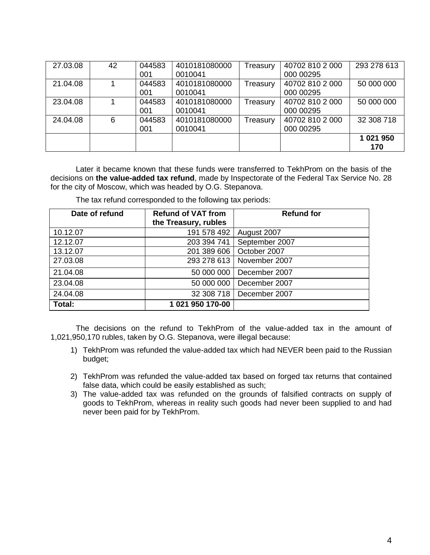| 27.03.08 | 42 | 044583 | 4010181080000 | Treasury | 40702 810 2 000 | 293 278 613 |
|----------|----|--------|---------------|----------|-----------------|-------------|
|          |    | 001    | 0010041       |          | 000 00295       |             |
| 21.04.08 |    | 044583 | 4010181080000 | Treasury | 40702 810 2 000 | 50 000 000  |
|          |    | 001    | 0010041       |          | 000 00295       |             |
| 23.04.08 |    | 044583 | 4010181080000 | Treasury | 40702 810 2 000 | 50 000 000  |
|          |    | 001    | 0010041       |          | 000 00295       |             |
| 24.04.08 | 6  | 044583 | 4010181080000 | Treasury | 40702 810 2 000 | 32 308 718  |
|          |    | 001    | 0010041       |          | 000 00295       |             |
|          |    |        |               |          |                 | 1 021 950   |
|          |    |        |               |          |                 | 170         |

Later it became known that these funds were transferred to TekhProm on the basis of the decisions on **the value-added tax refund**, made by Inspectorate of the Federal Tax Service No. 28 for the city of Moscow, which was headed by O.G. Stepanova.

The tax refund corresponded to the following tax periods:

| Date of refund | <b>Refund of VAT from</b><br>the Treasury, rubles | <b>Refund for</b> |
|----------------|---------------------------------------------------|-------------------|
| 10.12.07       | 191 578 492                                       | August 2007       |
| 12.12.07       | 203 394 741                                       | September 2007    |
| 13.12.07       | 201 389 606                                       | October 2007      |
| 27.03.08       | 293 278 613                                       | November 2007     |
| 21.04.08       | 50 000 000                                        | December 2007     |
| 23.04.08       | 50 000 000                                        | December 2007     |
| 24.04.08       | 32 308 718                                        | December 2007     |
| Total:         | 1 021 950 170-00                                  |                   |

The decisions on the refund to TekhProm of the value-added tax in the amount of 1,021,950,170 rubles, taken by O.G. Stepanova, were illegal because:

- 1) TekhProm was refunded the value-added tax which had NEVER been paid to the Russian budget;
- 2) TekhProm was refunded the value-added tax based on forged tax returns that contained false data, which could be easily established as such;
- 3) The value-added tax was refunded on the grounds of falsified contracts on supply of goods to TekhProm, whereas in reality such goods had never been supplied to and had never been paid for by TekhProm.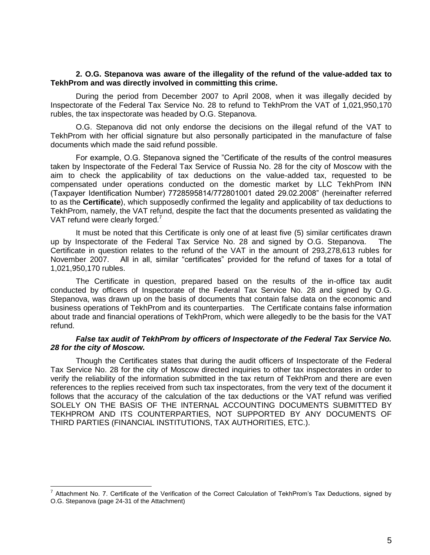## **2. O.G. Stepanova was aware of the illegality of the refund of the value-added tax to TekhProm and was directly involved in committing this crime.**

During the period from December 2007 to April 2008, when it was illegally decided by Inspectorate of the Federal Tax Service No. 28 to refund to TekhProm the VAT of 1,021,950,170 rubles, the tax inspectorate was headed by O.G. Stepanova.

O.G. Stepanova did not only endorse the decisions on the illegal refund of the VAT to TekhProm with her official signature but also personally participated in the manufacture of false documents which made the said refund possible.

For example, O.G. Stepanova signed the "Certificate of the results of the control measures taken by Inspectorate of the Federal Tax Service of Russia No. 28 for the city of Moscow with the aim to check the applicability of tax deductions on the value-added tax, requested to be compensated under operations conducted on the domestic market by LLC TekhProm INN (Taxpayer Identification Number) 7728595814/772801001 dated 29.02.2008" (hereinafter referred to as the **Certificate**), which supposedly confirmed the legality and applicability of tax deductions to TekhProm, namely, the VAT refund, despite the fact that the documents presented as validating the VAT refund were clearly forged.<sup>7</sup>

It must be noted that this Certificate is only one of at least five (5) similar certificates drawn up by Inspectorate of the Federal Tax Service No. 28 and signed by O.G. Stepanova. The Certificate in question relates to the refund of the VAT in the amount of 293,278,613 rubles for November 2007. All in all, similar "certificates" provided for the refund of taxes for a total of 1,021,950,170 rubles.

The Certificate in question, prepared based on the results of the in-office tax audit conducted by officers of Inspectorate of the Federal Tax Service No. 28 and signed by O.G. Stepanova, was drawn up on the basis of documents that contain false data on the economic and business operations of TekhProm and its counterparties. The Certificate contains false information about trade and financial operations of TekhProm, which were allegedly to be the basis for the VAT refund.

# *False tax audit of TekhProm by officers of Inspectorate of the Federal Tax Service No. 28 for the city of Moscow.*

Though the Certificates states that during the audit officers of Inspectorate of the Federal Tax Service No. 28 for the city of Moscow directed inquiries to other tax inspectorates in order to verify the reliability of the information submitted in the tax return of TekhProm and there are even references to the replies received from such tax inspectorates, from the very text of the document it follows that the accuracy of the calculation of the tax deductions or the VAT refund was verified SOLELY ON THE BASIS OF THE INTERNAL ACCOUNTING DOCUMENTS SUBMITTED BY TEKHPROM AND ITS COUNTERPARTIES, NOT SUPPORTED BY ANY DOCUMENTS OF THIRD PARTIES (FINANCIAL INSTITUTIONS, TAX AUTHORITIES, ETC.).

 7 Attachment No. 7. Certificate of the Verification of the Correct Calculation of TekhProm's Tax Deductions, signed by O.G. Stepanova (page 24-31 of the Attachment)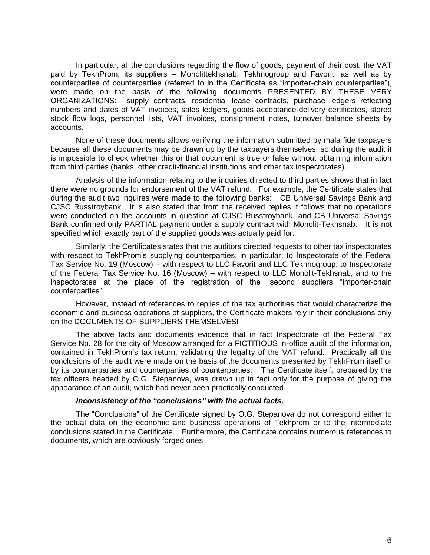In particular, all the conclusions regarding the flow of goods, payment of their cost, the VAT paid by TekhProm, its suppliers – Monolittekhsnab, Tekhnogroup and Favorit, as well as by counterparties of counterparties (referred to in the Certificate as "importer-chain counterparties"), were made on the basis of the following documents PRESENTED BY THESE VERY ORGANIZATIONS: supply contracts, residential lease contracts, purchase ledgers reflecting numbers and dates of VAT invoices, sales ledgers, goods acceptance-delivery certificates, stored stock flow logs, personnel lists, VAT invoices, consignment notes, turnover balance sheets by accounts.

None of these documents allows verifying the information submitted by mala fide taxpayers because all these documents may be drawn up by the taxpayers themselves, so during the audit it is impossible to check whether this or that document is true or false without obtaining information from third parties (banks, other credit-financial institutions and other tax inspectorates).

Analysis of the information relating to the inquiries directed to third parties shows that in fact there were no grounds for endorsement of the VAT refund. For example, the Certificate states that during the audit two inquires were made to the following banks: CB Universal Savings Bank and CJSC Russtroybank. It is also stated that from the received replies it follows that no operations were conducted on the accounts in question at CJSC Russtroybank, and CB Universal Savings Bank confirmed only PARTIAL payment under a supply contract with Monolit-Tekhsnab. It is not specified which exactly part of the supplied goods was actually paid for.

Similarly, the Certificates states that the auditors directed requests to other tax inspectorates with respect to TekhProm's supplying counterparties, in particular: to Inspectorate of the Federal Tax Service No. 19 (Moscow) – with respect to LLC Favorit and LLC Tekhnogroup, to Inspectorate of the Federal Tax Service No. 16 (Moscow) – with respect to LLC Monolit-Tekhsnab, and to the inspectorates at the place of the registration of the "second suppliers "importer-chain counterparties".

However, instead of references to replies of the tax authorities that would characterize the economic and business operations of suppliers, the Certificate makers rely in their conclusions only on the DOCUMENTS OF SUPPLIERS THEMSELVES!

The above facts and documents evidence that in fact Inspectorate of the Federal Tax Service No. 28 for the city of Moscow arranged for a FICTITIOUS in-office audit of the information, contained in TekhProm's tax return, validating the legality of the VAT refund. Practically all the conclusions of the audit were made on the basis of the documents presented by TekhProm itself or by its counterparties and counterparties of counterparties. The Certificate itself, prepared by the tax officers headed by O.G. Stepanova, was drawn up in fact only for the purpose of giving the appearance of an audit, which had never been practically conducted.

## *Inconsistency of the "conclusions" with the actual facts.*

The "Conclusions" of the Certificate signed by O.G. Stepanova do not correspond either to the actual data on the economic and business operations of Tekhprom or to the intermediate conclusions stated in the Certificate. Furthermore, the Certificate contains numerous references to documents, which are obviously forged ones.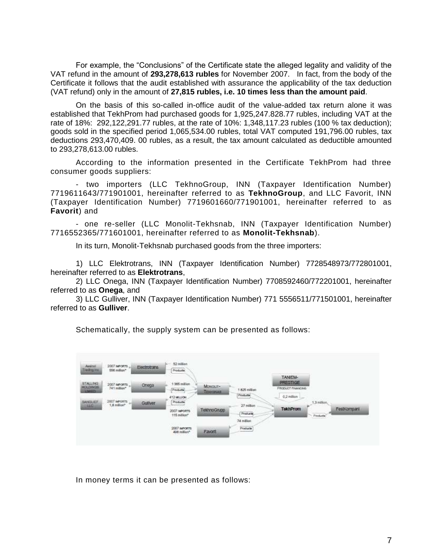For example, the "Conclusions" of the Certificate state the alleged legality and validity of the VAT refund in the amount of **293,278,613 rubles** for November 2007. In fact, from the body of the Certificate it follows that the audit established with assurance the applicability of the tax deduction (VAT refund) only in the amount of **27,815 rubles, i.e. 10 times less than the amount paid**.

On the basis of this so-called in-office audit of the value-added tax return alone it was established that TekhProm had purchased goods for 1,925,247.828.77 rubles, including VAT at the rate of 18%: 292,122,291.77 rubles, at the rate of 10%: 1,348,117.23 rubles (100 % tax deduction); goods sold in the specified period 1,065,534.00 rubles, total VAT computed 191,796.00 rubles, tax deductions 293,470,409. 00 rubles, as a result, the tax amount calculated as deductible amounted to 293,278,613.00 rubles.

According to the information presented in the Certificate TekhProm had three consumer goods suppliers:

- two importers (LLC TekhnoGroup, INN (Taxpayer Identification Number) 7719611643/771901001, hereinafter referred to as **TekhnoGroup**, and LLC Favorit, INN (Taxpayer Identification Number) 7719601660/771901001, hereinafter referred to as **Favorit**) and

- one re-seller (LLC Monolit-Tekhsnab, INN (Taxpayer Identification Number) 7716552365/771601001, hereinafter referred to as **Monolit-Tekhsnab**).

In its turn, Monolit-Tekhsnab purchased goods from the three importers:

1) LLC Elektrotrans, INN (Taxpayer Identification Number) 7728548973/772801001, hereinafter referred to as **Elektrotrans**,

2) LLC Onega, INN (Taxpayer Identification Number) 7708592460/772201001, hereinafter referred to as **Onega**, and

3) LLC Gulliver, INN (Taxpayer Identification Number) 771 5556511/771501001, hereinafter referred to as **Gulliver**.

Schematically, the supply system can be presented as follows:



In money terms it can be presented as follows: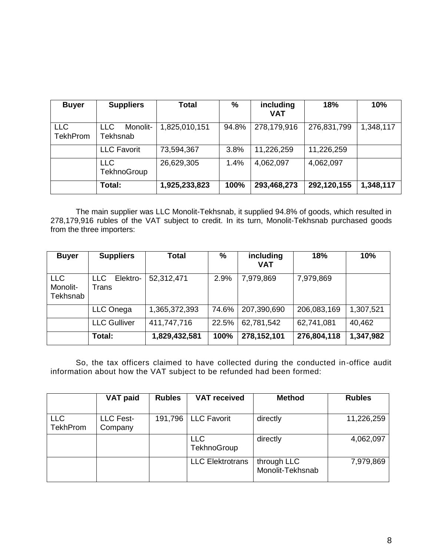| <b>Buyer</b>                  | <b>Suppliers</b>                   | <b>Total</b>  | $\%$  | including<br><b>VAT</b> | 18%         | 10%       |
|-------------------------------|------------------------------------|---------------|-------|-------------------------|-------------|-----------|
| <b>LLC</b><br><b>TekhProm</b> | Monolit-<br><b>LLC</b><br>Tekhsnab | 1,825,010,151 | 94.8% | 278,179,916             | 276,831,799 | 1,348,117 |
|                               | <b>LLC Favorit</b>                 | 73,594,367    | 3.8%  | 11,226,259              | 11,226,259  |           |
|                               | <b>LLC</b><br>TekhnoGroup          | 26,629,305    | 1.4%  | 4,062,097               | 4,062,097   |           |
|                               | Total:                             | 1,925,233,823 | 100%  | 293,468,273             | 292,120,155 | 1,348,117 |

The main supplier was LLC Monolit-Tekhsnab, it supplied 94.8% of goods, which resulted in 278,179,916 rubles of the VAT subject to credit. In its turn, Monolit-Tekhsnab purchased goods from the three importers:

| <b>Buyer</b>                       | <b>Suppliers</b>         | <b>Total</b>  | %     | including<br><b>VAT</b> | 18%         | 10%       |
|------------------------------------|--------------------------|---------------|-------|-------------------------|-------------|-----------|
| <b>LLC</b><br>Monolit-<br>Tekhsnab | Elektro-<br>LLC<br>Trans | 52,312,471    | 2.9%  | 7,979,869               | 7,979,869   |           |
|                                    | LLC Onega                | 1,365,372,393 | 74.6% | 207,390,690             | 206,083,169 | 1,307,521 |
|                                    | <b>LLC Gulliver</b>      | 411,747,716   | 22.5% | 62,781,542              | 62,741,081  | 40,462    |
|                                    | Total:                   | 1,829,432,581 | 100%  | 278,152,101             | 276,804,118 | 1,347,982 |

So, the tax officers claimed to have collected during the conducted in-office audit information about how the VAT subject to be refunded had been formed:

|                               | <b>VAT paid</b>             | <b>Rubles</b> | <b>VAT received</b>              | <b>Method</b>                   | <b>Rubles</b> |
|-------------------------------|-----------------------------|---------------|----------------------------------|---------------------------------|---------------|
|                               |                             |               |                                  |                                 |               |
| <b>LLC</b><br><b>TekhProm</b> | <b>LLC Fest-</b><br>Company | 191,796       | <b>LLC Favorit</b>               | directly                        | 11,226,259    |
|                               |                             |               | <b>LLC</b><br><b>TekhnoGroup</b> | directly                        | 4,062,097     |
|                               |                             |               | <b>LLC</b> Elektrotrans          | through LLC<br>Monolit-Tekhsnab | 7,979,869     |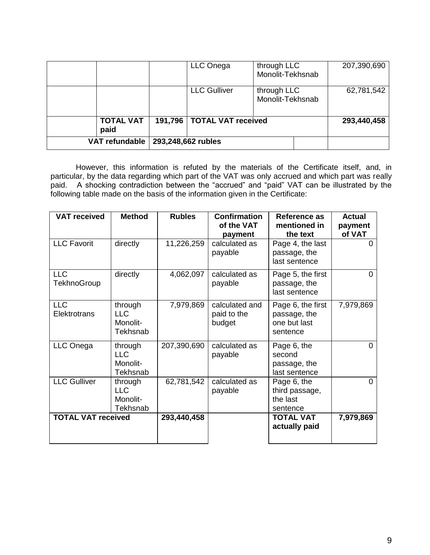|                          | LLC Onega                    | through LLC<br>Monolit-Tekhsnab | 207,390,690 |
|--------------------------|------------------------------|---------------------------------|-------------|
|                          | <b>LLC Gulliver</b>          | through LLC<br>Monolit-Tekhsnab | 62,781,542  |
| <b>TOTAL VAT</b><br>paid | 191,796   TOTAL VAT received |                                 | 293,440,458 |
| <b>VAT refundable</b>    | 293,248,662 rubles           |                                 |             |

However, this information is refuted by the materials of the Certificate itself, and, in particular, by the data regarding which part of the VAT was only accrued and which part was really paid. A shocking contradiction between the "accrued" and "paid" VAT can be illustrated by the following table made on the basis of the information given in the Certificate:

| <b>VAT received</b>              | <b>Method</b>                                 | <b>Rubles</b> | <b>Confirmation</b><br>of the VAT<br>payment | <b>Reference as</b><br>mentioned in<br>the text               | <b>Actual</b><br>payment<br>of VAT |
|----------------------------------|-----------------------------------------------|---------------|----------------------------------------------|---------------------------------------------------------------|------------------------------------|
| <b>LLC Favorit</b>               | directly                                      | 11,226,259    | calculated as<br>payable                     | Page 4, the last<br>passage, the<br>last sentence             | 0                                  |
| <b>LLC</b><br><b>TekhnoGroup</b> | directly                                      | 4,062,097     | calculated as<br>payable                     | Page 5, the first<br>passage, the<br>last sentence            | 0                                  |
| <b>LLC</b><br>Elektrotrans       | through<br><b>LLC</b><br>Monolit-<br>Tekhsnab | 7,979,869     | calculated and<br>paid to the<br>budget      | Page 6, the first<br>passage, the<br>one but last<br>sentence | 7,979,869                          |
| LLC Onega                        | through<br><b>LLC</b><br>Monolit-<br>Tekhsnab | 207,390,690   | calculated as<br>payable                     | Page 6, the<br>second<br>passage, the<br>last sentence        | 0                                  |
| <b>LLC Gulliver</b>              | through<br><b>LLC</b><br>Monolit-<br>Tekhsnab | 62,781,542    | calculated as<br>payable                     | Page 6, the<br>third passage,<br>the last<br>sentence         | $\Omega$                           |
| <b>TOTAL VAT received</b>        |                                               | 293,440,458   |                                              | <b>TOTAL VAT</b><br>actually paid                             | 7,979,869                          |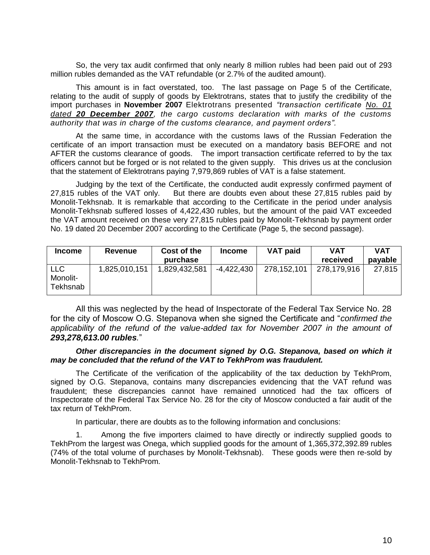So, the very tax audit confirmed that only nearly 8 million rubles had been paid out of 293 million rubles demanded as the VAT refundable (or 2.7% of the audited amount).

This amount is in fact overstated, too. The last passage on Page 5 of the Certificate, relating to the audit of supply of goods by Elektrotrans, states that to justify the credibility of the import purchases in **November 2007** Elektrotrans presented *"transaction certificate No. 01 dated 20 December 2007, the cargo customs declaration with marks of the customs authority that was in charge of the customs clearance, and payment orders".*

At the same time, in accordance with the customs laws of the Russian Federation the certificate of an import transaction must be executed on a mandatory basis BEFORE and not AFTER the customs clearance of goods. The import transaction certificate referred to by the tax officers cannot but be forged or is not related to the given supply. This drives us at the conclusion that the statement of Elektrotrans paying 7,979,869 rubles of VAT is a false statement.

Judging by the text of the Certificate, the conducted audit expressly confirmed payment of 27,815 rubles of the VAT only. But there are doubts even about these 27,815 rubles paid by Monolit-Tekhsnab. It is remarkable that according to the Certificate in the period under analysis Monolit-Tekhsnab suffered losses of 4,422,430 rubles, but the amount of the paid VAT exceeded the VAT amount received on these very 27,815 rubles paid by Monolit-Tekhsnab by payment order No. 19 dated 20 December 2007 according to the Certificate (Page 5, the second passage).

| <b>Income</b>                      | Revenue       | Cost of the   | <b>Income</b> | <b>VAT paid</b> | <b>VAT</b>  | <b>VAT</b> |
|------------------------------------|---------------|---------------|---------------|-----------------|-------------|------------|
|                                    |               | purchase      |               |                 | received    | payable    |
| <b>LLC</b><br>Monolit-<br>Tekhsnab | 1,825,010,151 | 1,829,432,581 | $-4,422,430$  | 278,152,101     | 278,179,916 | 27,815     |

All this was neglected by the head of Inspectorate of the Federal Tax Service No. 28 for the city of Moscow O.G. Stepanova when she signed the Certificate and "*confirmed the applicability of the refund of the value-added tax for November 2007 in the amount of 293,278,613.00 rubles.*"

## *Other discrepancies in the document signed by O.G. Stepanova, based on which it may be concluded that the refund of the VAT to TekhProm was fraudulent.*

The Certificate of the verification of the applicability of the tax deduction by TekhProm, signed by O.G. Stepanova, contains many discrepancies evidencing that the VAT refund was fraudulent; these discrepancies cannot have remained unnoticed had the tax officers of Inspectorate of the Federal Tax Service No. 28 for the city of Moscow conducted a fair audit of the tax return of TekhProm.

In particular, there are doubts as to the following information and conclusions:

1. Among the five importers claimed to have directly or indirectly supplied goods to TekhProm the largest was Onega, which supplied goods for the amount of 1,365,372,392.89 rubles (74% of the total volume of purchases by Monolit-Tekhsnab). These goods were then re-sold by Monolit-Tekhsnab to TekhProm.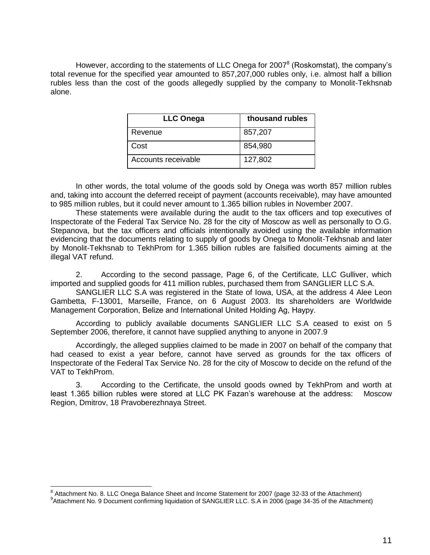However, according to the statements of LLC Onega for 2007<sup>8</sup> (Roskomstat), the company's total revenue for the specified year amounted to 857,207,000 rubles only, i.e. almost half a billion rubles less than the cost of the goods allegedly supplied by the company to Monolit-Tekhsnab alone.

| <b>LLC Onega</b>    | thousand rubles |
|---------------------|-----------------|
| Revenue             | 857,207         |
| Cost                | 854,980         |
| Accounts receivable | 127,802         |

In other words, the total volume of the goods sold by Onega was worth 857 million rubles and, taking into account the deferred receipt of payment (accounts receivable), may have amounted to 985 million rubles, but it could never amount to 1.365 billion rubles in November 2007.

These statements were available during the audit to the tax officers and top executives of Inspectorate of the Federal Tax Service No. 28 for the city of Moscow as well as personally to O.G. Stepanova, but the tax officers and officials intentionally avoided using the available information evidencing that the documents relating to supply of goods by Onega to Monolit-Tekhsnab and later by Monolit-Tekhsnab to TekhProm for 1.365 billion rubles are falsified documents aiming at the illegal VAT refund.

2. According to the second passage, Page 6, of the Certificate, LLC Gulliver, which imported and supplied goods for 411 million rubles, purchased them from SANGLIER LLC S.A.

SANGLIER LLC S.A was registered in the State of Iowa, USA, at the address 4 Alee Leon Gambetta, F-13001, Marseille, France, on 6 August 2003. Its shareholders are Worldwide Management Corporation, Belize and International United Holding Ag, Науру.

According to publicly available documents SANGLIER LLC S.A ceased to exist on 5 September 2006, therefore, it cannot have supplied anything to anyone in 2007.9

Accordingly, the alleged supplies claimed to be made in 2007 on behalf of the company that had ceased to exist a year before, cannot have served as grounds for the tax officers of Inspectorate of the Federal Tax Service No. 28 for the city of Moscow to decide on the refund of the VAT to TekhProm.

3. According to the Certificate, the unsold goods owned by TekhProm and worth at least 1.365 billion rubles were stored at LLC PK Fazan's warehouse at the address: Moscow Region, Dmitrov, 18 Pravoberezhnaya Street.

 8 Attachment No. 8. LLC Onega Balance Sheet and Income Statement for 2007 (page 32-33 of the Attachment)

<sup>&</sup>lt;sup>9</sup> Attachment No. 9 Document confirming liquidation of SANGLIER LLC. S.A in 2006 (page 34-35 of the Attachment)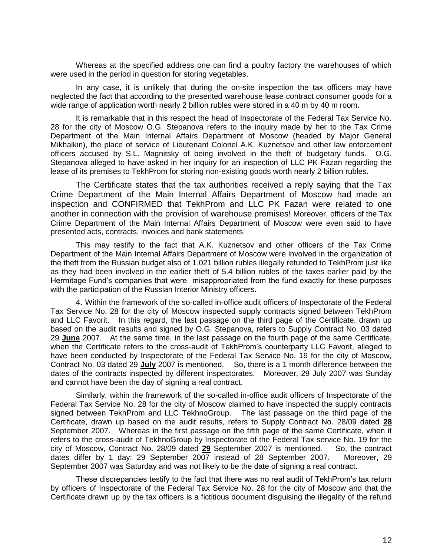Whereas at the specified address one can find a poultry factory the warehouses of which were used in the period in question for storing vegetables.

In any case, it is unlikely that during the on-site inspection the tax officers may have neglected the fact that according to the presented warehouse lease contract consumer goods for a wide range of application worth nearly 2 billion rubles were stored in a 40 m by 40 m room.

It is remarkable that in this respect the head of Inspectorate of the Federal Tax Service No. 28 for the city of Moscow O.G. Stepanova refers to the inquiry made by her to the Tax Crime Department of the Main Internal Affairs Department of Moscow (headed by Major General Mikhalkin), the place of service of Lieutenant Colonel A.K. Kuznetsov and other law enforcement officers accused by S.L. Magnitsky of being involved in the theft of budgetary funds. O.G. Stepanova alleged to have asked in her inquiry for an inspection of LLC PK Fazan regarding the lease of its premises to TekhProm for storing non-existing goods worth nearly 2 billion rubles.

The Certificate states that the tax authorities received a reply saying that the Tax Crime Department of the Main Internal Affairs Department of Moscow had made an inspection and CONFIRMED that TekhProm and LLC PK Fazan were related to one another in connection with the provision of warehouse premises! Moreover, officers of the Tax Crime Department of the Main Internal Affairs Department of Moscow were even said to have presented acts, contracts, invoices and bank statements.

This may testify to the fact that A.K. Kuznetsov and other officers of the Tax Crime Department of the Main Internal Affairs Department of Moscow were involved in the organization of the theft from the Russian budget also of 1.021 billion rubles illegally refunded to TekhProm just like as they had been involved in the earlier theft of 5.4 billion rubles of the taxes earlier paid by the Hermitage Fund's companies that were misappropriated from the fund exactly for these purposes with the participation of the Russian Interior Ministry officers.

4. Within the framework of the so-called in-office audit officers of Inspectorate of the Federal Tax Service No. 28 for the city of Moscow inspected supply contracts signed between TekhProm and LLC Favorit. In this regard, the last passage on the third page of the Certificate, drawn up based on the audit results and signed by O.G. Stepanova, refers to Supply Contract No. 03 dated 29 **June** 2007. At the same time, in the last passage on the fourth page of the same Certificate, when the Certificate refers to the cross-audit of TekhProm's counterparty LLC Favorit, alleged to have been conducted by Inspectorate of the Federal Tax Service No. 19 for the city of Moscow, Contract No. 03 dated 29 **July** 2007 is mentioned. So, there is a 1 month difference between the dates of the contracts inspected by different inspectorates. Moreover, 29 July 2007 was Sunday and cannot have been the day of signing a real contract.

Similarly, within the framework of the so-called in-office audit officers of Inspectorate of the Federal Tax Service No. 28 for the city of Moscow claimed to have inspected the supply contracts signed between TekhProm and LLC TekhnoGroup. The last passage on the third page of the Certificate, drawn up based on the audit results, refers to Supply Contract No. 28/09 dated **28** September 2007. Whereas in the first passage on the fifth page of the same Certificate, when it refers to the cross-audit of TekhnoGroup by Inspectorate of the Federal Tax service No. 19 for the city of Moscow, Contract No. 28/09 dated **29** September 2007 is mentioned. So, the contract dates differ by 1 day: 29 September 2007 instead of 28 September 2007. Moreover, 29 September 2007 was Saturday and was not likely to be the date of signing a real contract.

These discrepancies testify to the fact that there was no real audit of TekhProm's tax return by officers of Inspectorate of the Federal Tax Service No. 28 for the city of Moscow and that the Certificate drawn up by the tax officers is a fictitious document disguising the illegality of the refund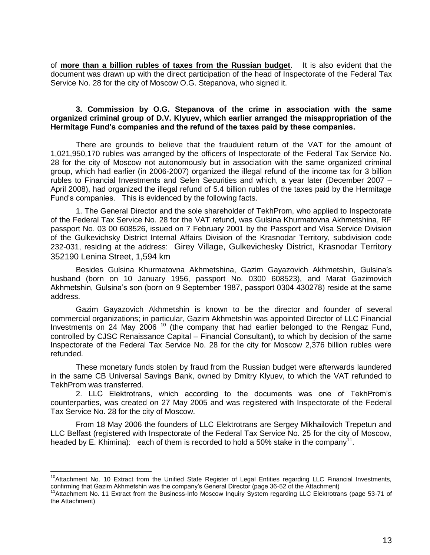of **more than a billion rubles of taxes from the Russian budget**. It is also evident that the document was drawn up with the direct participation of the head of Inspectorate of the Federal Tax Service No. 28 for the city of Moscow O.G. Stepanova, who signed it.

# **3. Commission by O.G. Stepanova of the crime in association with the same organized criminal group of D.V. Klyuev, which earlier arranged the misappropriation of the Hermitage Fund's companies and the refund of the taxes paid by these companies.**

There are grounds to believe that the fraudulent return of the VAT for the amount of 1,021,950,170 rubles was arranged by the officers of Inspectorate of the Federal Tax Service No. 28 for the city of Moscow not autonomously but in association with the same organized criminal group, which had earlier (in 2006-2007) organized the illegal refund of the income tax for 3 billion rubles to Financial Investments and Selen Securities and which, a year later (December 2007 – April 2008), had organized the illegal refund of 5.4 billion rubles of the taxes paid by the Hermitage Fund's companies. This is evidenced by the following facts.

1. The General Director and the sole shareholder of TekhProm, who applied to Inspectorate of the Federal Tax Service No. 28 for the VAT refund, was Gulsina Khurmatovna Akhmetshina, RF passport No. 03 00 608526, issued on 7 February 2001 by the Passport and Visa Service Division of the Gulkevichsky District Internal Affairs Division of the Krasnodar Territory, subdivision code 232-031, residing at the address: Girey Village, Gulkevichesky District, Krasnodar Territory 352190 Lenina Street, 1,594 km

Besides Gulsina Khurmatovna Akhmetshina, Gazim Gayazovich Akhmetshin, Gulsina's husband (born on 10 January 1956, passport No. 0300 608523), and Marat Gazimovich Akhmetshin, Gulsina's son (born on 9 September 1987, passport 0304 430278) reside at the same address.

Gazim Gayazovich Akhmetshin is known to be the director and founder of several commercial organizations; in particular, Gazim Akhmetshin was appointed Director of LLC Financial Investments on 24 May 2006<sup>10</sup> (the company that had earlier belonged to the Rengaz Fund, controlled by CJSC Renaissance Capital – Financial Consultant), to which by decision of the same Inspectorate of the Federal Tax Service No. 28 for the city for Moscow 2,376 billion rubles were refunded.

These monetary funds stolen by fraud from the Russian budget were afterwards laundered in the same CB Universal Savings Bank, owned by Dmitry Klyuev, to which the VAT refunded to TekhProm was transferred.

2. LLC Elektrotrans, which according to the documents was one of TekhProm's counterparties, was created on 27 May 2005 and was registered with Inspectorate of the Federal Tax Service No. 28 for the city of Moscow.

From 18 May 2006 the founders of LLC Elektrotrans are Sergey Mikhailovich Trepetun and LLC Belfast (registered with Inspectorate of the Federal Tax Service No. 25 for the city of Moscow, headed by E. Khimina): each of them is recorded to hold a 50% stake in the company<sup>11</sup>.

<sup>&</sup>lt;sup>10</sup>Attachment No. 10 Extract from the Unified State Register of Legal Entities regarding LLC Financial Investments, confirming that Gazim Akhmetshin was the company's General Director (page 36-52 of the Attachment)

<sup>&</sup>lt;sup>11</sup>Attachment No. 11 Extract from the Business-Info Moscow Inquiry System regarding LLC Elektrotrans (page 53-71 of the Attachment)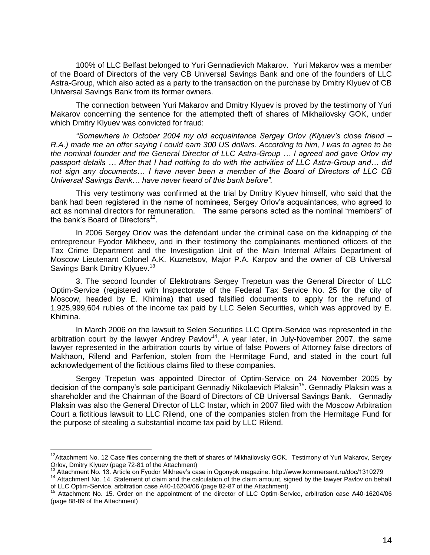100% of LLC Belfast belonged to Yuri Gennadievich Makarov. Yuri Makarov was a member of the Board of Directors of the very CB Universal Savings Bank and one of the founders of LLC Astra-Group, which also acted as a party to the transaction on the purchase by Dmitry Klyuev of CB Universal Savings Bank from its former owners.

The connection between Yuri Makarov and Dmitry Klyuev is proved by the testimony of Yuri Makarov concerning the sentence for the attempted theft of shares of Mikhailovsky GOK, under which Dmitry Klyuev was convicted for fraud:

*"Somewhere in October 2004 my old acquaintance Sergey Orlov (Klyuev's close friend – R.A.) made me an offer saying I could earn 300 US dollars. According to him, I was to agree to be the nominal founder and the General Director of LLC Astra-Group … I agreed and gave Orlov my passport details … After that I had nothing to do with the activities of LLC Astra-Group and… did not sign any documents… I have never been a member of the Board of Directors of LLC CB Universal Savings Bank… have never heard of this bank before".* 

This very testimony was confirmed at the trial by Dmitry Klyuev himself, who said that the bank had been registered in the name of nominees, Sergey Orlov's acquaintances, who agreed to act as nominal directors for remuneration. The same persons acted as the nominal "members" of the bank's Board of Directors<sup>12</sup>.

In 2006 Sergey Orlov was the defendant under the criminal case on the kidnapping of the entrepreneur Fyodor Mikheev, and in their testimony the complainants mentioned officers of the Tax Crime Department and the Investigation Unit of the Main Internal Affairs Department of Moscow Lieutenant Colonel A.K. Kuznetsov, Major P.A. Karpov and the owner of CB Universal Savings Bank Dmitry Klyuev.<sup>13</sup>

3. The second founder of Elektrotrans Sergey Trepetun was the General Director of LLC Optim-Service (registered with Inspectorate of the Federal Tax Service No. 25 for the city of Moscow, headed by E. Khimina) that used falsified documents to apply for the refund of 1,925,999,604 rubles of the income tax paid by LLC Selen Securities, which was approved by E. Khimina.

In March 2006 on the lawsuit to Selen Securities LLC Optim-Service was represented in the arbitration court by the lawyer Andrey Pavlov<sup>14</sup>. A year later, in July-November 2007, the same lawyer represented in the arbitration courts by virtue of false Powers of Attorney false directors of Makhaon, Rilend and Parfenion, stolen from the Hermitage Fund, and stated in the court full acknowledgement of the fictitious claims filed to these companies.

Sergey Trepetun was appointed Director of Optim-Service on 24 November 2005 by decision of the company's sole participant Gennadiy Nikolaevich Plaksin<sup>15</sup>. Gennadiy Plaksin was a shareholder and the Chairman of the Board of Directors of CB Universal Savings Bank. Gennadiy Plaksin was also the General Director of LLC Instar, which in 2007 filed with the Moscow Arbitration Court a fictitious lawsuit to LLC Rilend, one of the companies stolen from the Hermitage Fund for the purpose of stealing a substantial income tax paid by LLC Rilend.

<sup>&</sup>lt;sup>12</sup>Attachment No. 12 Case files concerning the theft of shares of Mikhailovsky GOK. Testimony of Yuri Makarov, Sergey Orlov, Dmitry Klyuev (page 72-81 of the Attachment)

<sup>13</sup> Attachment No. 13. Article on Fyodor Mikheev's case in Ogonyok magazine. http://www.kommersant.ru/doc/1310279

<sup>&</sup>lt;sup>14</sup> Attachment No. 14. Statement of claim and the calculation of the claim amount, signed by the lawyer Pavlov on behalf of LLC Optim-Service, arbitration case А40-16204/06 (page 82-87 of the Attachment)

<sup>&</sup>lt;sup>15</sup> Attachment No. 15. Order on the appointment of the director of LLC Optim-Service, arbitration case A40-16204/06 (page 88-89 of the Attachment)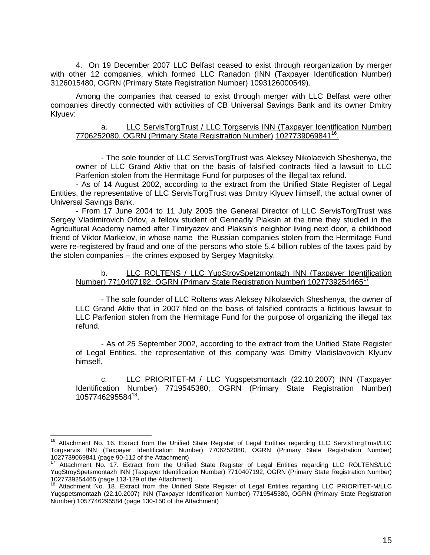4. On 19 December 2007 LLC Belfast ceased to exist through reorganization by merger with other 12 companies, which formed LLC Ranadon (INN (Taxpayer Identification Number) 3126015480, OGRN (Primary State Registration Number) 1093126000549).

Among the companies that ceased to exist through merger with LLC Belfast were other companies directly connected with activities of CB Universal Savings Bank and its owner Dmitry Klyuev:

# a. LLC ServisTorgTrust / LLC Torgservis INN (Taxpayer Identification Number) 7706252080, OGRN (Primary State Registration Number) 1027739069841<sup>16</sup>.

- The sole founder of LLC ServisTorgTrust was Aleksey Nikolaevich Sheshenya, the owner of LLC Grand Aktiv that on the basis of falsified contracts filed a lawsuit to LLC Parfenion stolen from the Hermitage Fund for purposes of the illegal tax refund.

- As of 14 August 2002, according to the extract from the Unified State Register of Legal Entities, the representative of LLC ServisTorgTrust was Dmitry Klyuev himself, the actual owner of Universal Savings Bank.

- From 17 June 2004 to 11 July 2005 the General Director of LLC ServisTorgTrust was Sergey Vladimirovich Orlov, a fellow student of Gennadiy Plaksin at the time they studied in the Agricultural Academy named after Timiryazev and Plaksin's neighbor living next door, a childhood friend of Viktor Markelov, in whose name the Russian companies stolen from the Hermitage Fund were re-registered by fraud and one of the persons who stole 5.4 billion rubles of the taxes paid by the stolen companies – the crimes exposed by Sergey Magnitsky.

#### b. LLC ROLTENS / LLC YugStroySpetzmontazh INN (Taxpayer Identification Number) 7710407192, OGRN (Primary State Registration Number) 1027739254465<sup>17</sup>

- The sole founder of LLC Roltens was Aleksey Nikolaevich Sheshenya, the owner of LLC Grand Aktiv that in 2007 filed on the basis of falsified contracts a fictitious lawsuit to LLC Parfenion stolen from the Hermitage Fund for the purpose of organizing the illegal tax refund.

- As of 25 September 2002, according to the extract from the Unified State Register of Legal Entities, the representative of this company was Dmitry Vladislavovich Klyuev himself.

c. LLC PRIORITET-M / LLC Yugspetsmontazh (22.10.2007) INN (Taxpayer Identification Number) 7719545380, OGRN (Primary State Registration Number) 1057746295584<sup>18</sup>,

<sup>&</sup>lt;sup>16</sup> Attachment No. 16. Extract from the Unified State Register of Legal Entities regarding LLC ServisTorgTrust/LLC Torgservis INN (Taxpayer Identification Number) 7706252080, OGRN (Primary State Registration Number) 1027739069841 (page 90-112 of the Attachment)

<sup>&</sup>lt;sup>17</sup> Attachment No. 17. Extract from the Unified State Register of Legal Entities regarding LLC ROLTENS/LLC YugStroySpetsmontazh INN (Taxpayer Identification Number) 7710407192, OGRN (Primary State Registration Number) 1027739254465 (page 113-129 of the Attachment)

<sup>18</sup> Attachment No. 18. Extract from the Unified State Register of Legal Entities regarding LLC PRIORITET-M/LLC Yugspetsmontazh (22.10.2007) INN (Taxpayer Identification Number) 7719545380, OGRN (Primary State Registration Number) 1057746295584 (page 130-150 of the Attachment)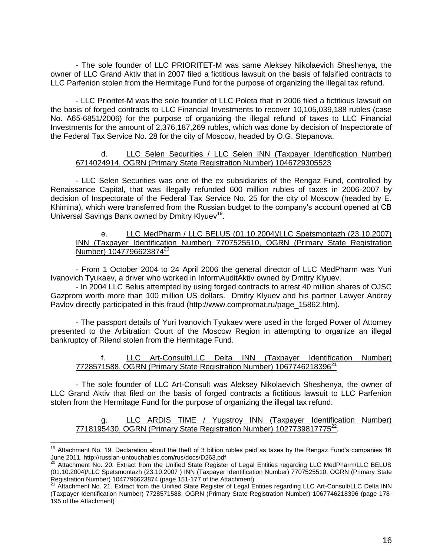- The sole founder of LLC PRIORITET-M was same Aleksey Nikolaevich Sheshenya, the owner of LLC Grand Aktiv that in 2007 filed a fictitious lawsuit on the basis of falsified contracts to LLC Parfenion stolen from the Hermitage Fund for the purpose of organizing the illegal tax refund.

- LLC Prioritet-M was the sole founder of LLC Poleta that in 2006 filed a fictitious lawsuit on the basis of forged contracts to LLC Financial Investments to recover 10,105,039,188 rubles (case No. А65-6851/2006) for the purpose of organizing the illegal refund of taxes to LLC Financial Investments for the amount of 2,376,187,269 rubles, which was done by decision of Inspectorate of the Federal Tax Service No. 28 for the city of Moscow, headed by O.G. Stepanova.

# d. LLC Selen Securities / LLC Selen INN (Taxpayer Identification Number) 6714024914, OGRN (Primary State Registration Number) 1046729305523

- LLC Selen Securities was one of the ex subsidiaries of the Rengaz Fund, controlled by Renaissance Capital, that was illegally refunded 600 million rubles of taxes in 2006-2007 by decision of Inspectorate of the Federal Tax Service No. 25 for the city of Moscow (headed by E. Khimina), which were transferred from the Russian budget to the company's account opened at CB Universal Savings Bank owned by Dmitry Klyuev<sup>19</sup>.

# e. LLC MedPharm / LLC BELUS (01.10.2004)/LLC Spetsmontazh (23.10.2007) INN (Taxpayer Identification Number) 7707525510, OGRN (Primary State Registration Number) 1047796623874<sup>20</sup>

- From 1 October 2004 to 24 April 2006 the general director of LLC MedPharm was Yuri Ivanovich Tyukaev, a driver who worked in InformAuditAktiv owned by Dmitry Klyuev.

- In 2004 LLC Belus attempted by using forged contracts to arrest 40 million shares of OJSC Gazprom worth more than 100 million US dollars. Dmitry Klyuev and his partner Lawyer Andrey Pavlov directly participated in this fraud (http://www.compromat.ru/page\_15862.htm).

- The passport details of Yuri Ivanovich Tyukaev were used in the forged Power of Attorney presented to the Arbitration Court of the Moscow Region in attempting to organize an illegal bankruptcy of Rilend stolen from the Hermitage Fund.

# f. LLC Art-Consult/LLC Delta INN (Taxpayer Identification Number) 7728571588, OGRN (Primary State Registration Number) 1067746218396<sup>21</sup>

- The sole founder of LLC Art-Consult was Aleksey Nikolaevich Sheshenya, the owner of LLC Grand Aktiv that filed on the basis of forged contracts a fictitious lawsuit to LLC Parfenion stolen from the Hermitage Fund for the purpose of organizing the illegal tax refund.

g. LLC ARDIS TIME / Yugstroy INN (Taxpayer Identification Number) 7718195430, OGRN (Primary State Registration Number) 1027739817775<sup>22</sup>.

<sup>&</sup>lt;sup>19</sup> Attachment No. 19. Declaration about the theft of 3 billion rubles paid as taxes by the Rengaz Fund's companies 16 June 2011. http://russian-untouchables.com/rus/docs/D263.pdf

<sup>&</sup>lt;sup>20</sup> Attachment No. 20. Extract from the Unified State Register of Legal Entities regarding LLC MedPharm/LLC BELUS (01.10.2004)/LLC Spetsmontazh (23.10.2007 ) INN (Taxpayer Identification Number) 7707525510, OGRN (Primary State Registration Number) 1047796623874 (page 151-177 of the Attachment)

 $^{21}$  Attachment No. 21. Extract from the Unified State Register of Legal Entities regarding LLC Art-Consult/LLC Delta INN (Taxpayer Identification Number) 7728571588, OGRN (Primary State Registration Number) 1067746218396 (page 178- 195 of the Attachment)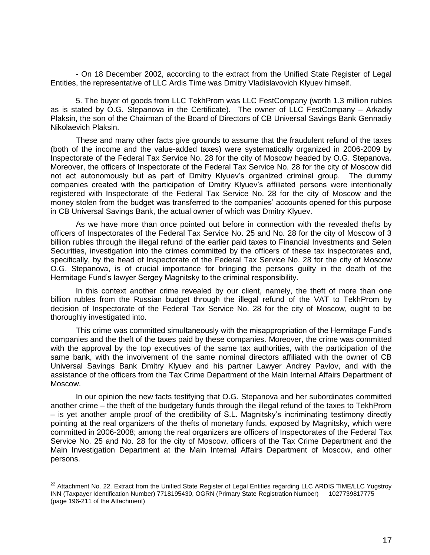- On 18 December 2002, according to the extract from the Unified State Register of Legal Entities, the representative of LLC Ardis Time was Dmitry Vladislavovich Klyuev himself.

5. The buyer of goods from LLC TekhProm was LLC FestCompany (worth 1.3 million rubles as is stated by O.G. Stepanova in the Certificate). The owner of LLC FestCompany – Arkadiy Plaksin, the son of the Chairman of the Board of Directors of CB Universal Savings Bank Gennadiy Nikolaevich Plaksin.

These and many other facts give grounds to assume that the fraudulent refund of the taxes (both of the income and the value-added taxes) were systematically organized in 2006-2009 by Inspectorate of the Federal Tax Service No. 28 for the city of Moscow headed by O.G. Stepanova. Moreover, the officers of Inspectorate of the Federal Tax Service No. 28 for the city of Moscow did not act autonomously but as part of Dmitry Klyuev's organized criminal group. The dummy companies created with the participation of Dmitry Klyuev's affiliated persons were intentionally registered with Inspectorate of the Federal Tax Service No. 28 for the city of Moscow and the money stolen from the budget was transferred to the companies' accounts opened for this purpose in CB Universal Savings Bank, the actual owner of which was Dmitry Klyuev.

As we have more than once pointed out before in connection with the revealed thefts by officers of Inspectorates of the Federal Tax Service No. 25 and No. 28 for the city of Moscow of 3 billion rubles through the illegal refund of the earlier paid taxes to Financial Investments and Selen Securities, investigation into the crimes committed by the officers of these tax inspectorates and, specifically, by the head of Inspectorate of the Federal Tax Service No. 28 for the city of Moscow O.G. Stepanova, is of crucial importance for bringing the persons guilty in the death of the Hermitage Fund's lawyer Sergey Magnitsky to the criminal responsibility.

In this context another crime revealed by our client, namely, the theft of more than one billion rubles from the Russian budget through the illegal refund of the VAT to TekhProm by decision of Inspectorate of the Federal Tax Service No. 28 for the city of Moscow, ought to be thoroughly investigated into.

This crime was committed simultaneously with the misappropriation of the Hermitage Fund's companies and the theft of the taxes paid by these companies. Moreover, the crime was committed with the approval by the top executives of the same tax authorities, with the participation of the same bank, with the involvement of the same nominal directors affiliated with the owner of CB Universal Savings Bank Dmitry Klyuev and his partner Lawyer Andrey Pavlov, and with the assistance of the officers from the Tax Crime Department of the Main Internal Affairs Department of Moscow.

In our opinion the new facts testifying that O.G. Stepanova and her subordinates committed another crime – the theft of the budgetary funds through the illegal refund of the taxes to TekhProm – is yet another ample proof of the credibility of S.L. Magnitsky's incriminating testimony directly pointing at the real organizers of the thefts of monetary funds, exposed by Magnitsky, which were committed in 2006-2008; among the real organizers are officers of Inspectorates of the Federal Tax Service No. 25 and No. 28 for the city of Moscow, officers of the Tax Crime Department and the Main Investigation Department at the Main Internal Affairs Department of Moscow, and other persons.

 $^{22}$  Attachment No. 22. Extract from the Unified State Register of Legal Entities regarding LLC ARDIS TIME/LLC Yugstroy INN (Taxpayer Identification Number) 7718195430, OGRN (Primary State Registration Number) 1027739817775 (page 196-211 of the Attachment)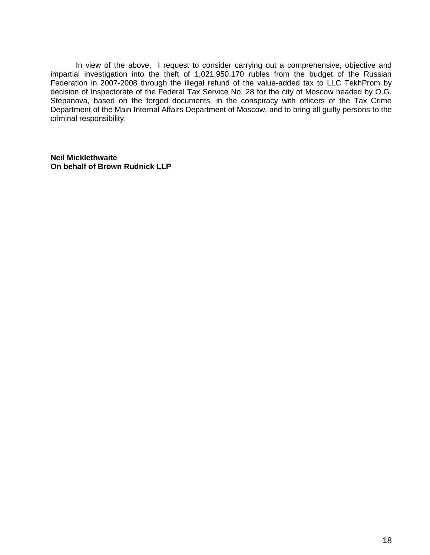In view of the above, I request to consider carrying out a comprehensive, objective and impartial investigation into the theft of 1,021,950,170 rubles from the budget of the Russian Federation in 2007-2008 through the illegal refund of the value-added tax to LLC TekhProm by decision of Inspectorate of the Federal Tax Service No. 28 for the city of Moscow headed by O.G. Stepanova, based on the forged documents, in the conspiracy with officers of the Tax Crime Department of the Main Internal Affairs Department of Moscow, and to bring all guilty persons to the criminal responsibility.

**Neil Micklethwaite On behalf of Brown Rudnick LLP**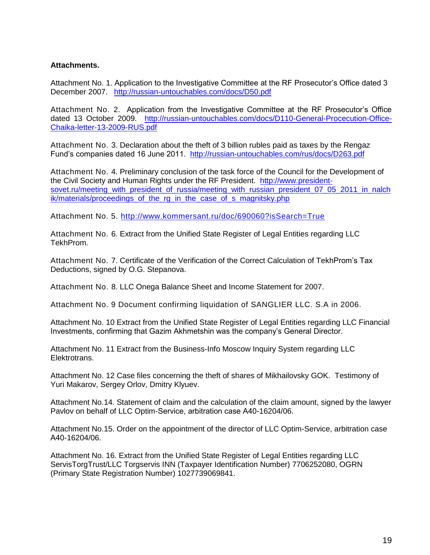# **Attachments.**

Attachment No. 1. Application to the Investigative Committee at the RF Prosecutor's Office dated 3 December 2007. <http://russian-untouchables.com/docs/D50.pdf>

Attachment No. 2. Application from the Investigative Committee at the RF Prosecutor's Office dated 13 October 2009. [http://russian-untouchables.com/docs/D110-General-Procecution-Office-](http://russian-untouchables.com/docs/D110-General-Procecution-Office-Chaika-letter-13-2009-RUS.pdf)[Chaika-letter-13-2009-RUS.pdf](http://russian-untouchables.com/docs/D110-General-Procecution-Office-Chaika-letter-13-2009-RUS.pdf)

Attachment No. 3. Declaration about the theft of 3 billion rubles paid as taxes by the Rengaz Fund's companies dated 16 June 2011. <http://russian-untouchables.com/rus/docs/D263.pdf>

Attachment No. 4. Preliminary conclusion of the task force of the Council for the Development of the Civil Society and Human Rights under the RF President. [http://www.president](http://www.president-sovet.ru/meeting_with_president_of_russia/meeting_with_russian_president_07_05_2011_in_nalchik/materials/proceedings_of_the_rg_in_the_case_of_s_magnitsky.php)[sovet.ru/meeting\\_with\\_president\\_of\\_russia/meeting\\_with\\_russian\\_president\\_07\\_05\\_2011\\_in\\_nalch](http://www.president-sovet.ru/meeting_with_president_of_russia/meeting_with_russian_president_07_05_2011_in_nalchik/materials/proceedings_of_the_rg_in_the_case_of_s_magnitsky.php) [ik/materials/proceedings\\_of\\_the\\_rg\\_in\\_the\\_case\\_of\\_s\\_magnitsky.php](http://www.president-sovet.ru/meeting_with_president_of_russia/meeting_with_russian_president_07_05_2011_in_nalchik/materials/proceedings_of_the_rg_in_the_case_of_s_magnitsky.php)

Attachment No. 5.<http://www.kommersant.ru/doc/690060?isSearch=True>

Attachment No. 6. Extract from the Unified State Register of Legal Entities regarding LLC TekhProm.

Attachment No. 7. Certificate of the Verification of the Correct Calculation of TekhProm's Tax Deductions, signed by O.G. Stepanova.

Attachment No. 8. LLC Onega Balance Sheet and Income Statement for 2007.

Attachment No. 9 Document confirming liquidation of SANGLIER LLC. S.A in 2006.

Attachment No. 10 Extract from the Unified State Register of Legal Entities regarding LLC Financial Investments, confirming that Gazim Akhmetshin was the company's General Director.

Attachment No. 11 Extract from the Business-Info Moscow Inquiry System regarding LLC Elektrotrans.

Attachment No. 12 Case files concerning the theft of shares of Mikhailovsky GOK. Testimony of Yuri Makarov, Sergey Orlov, Dmitry Klyuev.

Attachment No.14. Statement of claim and the calculation of the claim amount, signed by the lawyer Pavlov on behalf of LLC Optim-Service, arbitration case А40-16204/06.

Attachment No.15. Order on the appointment of the director of LLC Optim-Service, arbitration case А40-16204/06.

Attachment No. 16. Extract from the Unified State Register of Legal Entities regarding LLC ServisTorgTrust/LLC Torgservis INN (Taxpayer Identification Number) 7706252080, OGRN (Primary State Registration Number) 1027739069841.